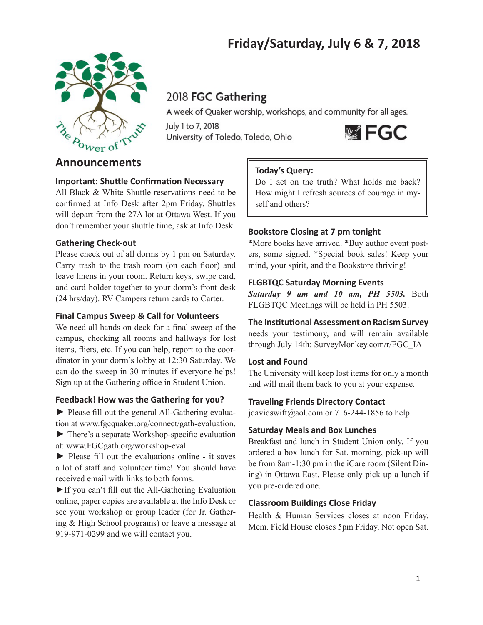# **Friday/Saturday, July 6 & 7, 2018**



# 2018 FGC Gathering

A week of Quaker worship, workshops, and community for all ages.

July 1 to 7, 2018 University of Toledo, Toledo, Ohio



# **Announcements**

## **Important: Shuttle Confirmation Necessary**

All Black & White Shuttle reservations need to be confirmed at Info Desk after 2pm Friday. Shuttles will depart from the 27A lot at Ottawa West. If you don't remember your shuttle time, ask at Info Desk.

## **Gathering Check-out**

Please check out of all dorms by 1 pm on Saturday. Carry trash to the trash room (on each floor) and leave linens in your room. Return keys, swipe card, and card holder together to your dorm's front desk (24 hrs/day). RV Campers return cards to Carter.

## **Final Campus Sweep & Call for Volunteers**

We need all hands on deck for a final sweep of the campus, checking all rooms and hallways for lost items, fliers, etc. If you can help, report to the coordinator in your dorm's lobby at 12:30 Saturday. We can do the sweep in 30 minutes if everyone helps! Sign up at the Gathering office in Student Union.

## **Feedback! How was the Gathering for you?**

► Please fill out the general All-Gathering evaluation at www.fgcquaker.org/connect/gath-evaluation.

► There's a separate Workshop-specific evaluation at: www.FGCgath.org/workshop-eval

► Please fill out the evaluations online - it saves a lot of staff and volunteer time! You should have received email with links to both forms.

►If you can't fill out the All-Gathering Evaluation online, paper copies are available at the Info Desk or see your workshop or group leader (for Jr. Gathering & High School programs) or leave a message at 919-971-0299 and we will contact you.

## **Today's Query:**

Do I act on the truth? What holds me back? How might I refresh sources of courage in myself and others?

## **Bookstore Closing at 7 pm tonight**

\*More books have arrived. \*Buy author event posters, some signed. \*Special book sales! Keep your mind, your spirit, and the Bookstore thriving!

## **FLGBTQC Saturday Morning Events**

*Saturday 9 am and 10 am, PH 5503.* Both FLGBTQC Meetings will be held in PH 5503.

## **The Institutional Assessment on Racism Survey**

needs your testimony, and will remain available through July 14th: SurveyMonkey.com/r/FGC\_IA

## **Lost and Found**

The University will keep lost items for only a month and will mail them back to you at your expense.

## **Traveling Friends Directory Contact**

jdavidswift@aol.com or 716-244-1856 to help.

## **Saturday Meals and Box Lunches**

Breakfast and lunch in Student Union only. If you ordered a box lunch for Sat. morning, pick-up will be from 8am-1:30 pm in the iCare room (Silent Dining) in Ottawa East. Please only pick up a lunch if you pre-ordered one.

## **Classroom Buildings Close Friday**

Health & Human Services closes at noon Friday. Mem. Field House closes 5pm Friday. Not open Sat.